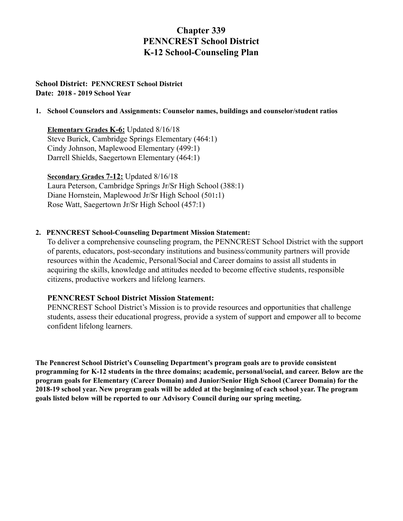## **Chapter 339 PENNCREST School District K-12 School-Counseling Plan**

#### **School District : PENNCREST School District Date : 2018 2019 School Year**

#### **1. School Counselors and Assignments: Counselor names, buildings and counselor/student ratios**

**Elementary Grades K-6: Updated 8/16/18** Steve Burick, Cambridge Springs Elementary (464:1) Cindy Johnson, Maplewood Elementary (499:1) Darrell Shields, Saegertown Elementary (464:1)

**Secondary Grades 7-12:** Updated 8/16/18 Laura Peterson, Cambridge Springs Jr/Sr High School (388:1) Diane Hornstein, Maplewood Jr/Sr High School (501:1) Rose Watt, Saegertown Jr/Sr High School (457:1)

#### **2. PENNCREST SchoolCounseling Department Mission Statement:**

To deliver a comprehensive counseling program, the PENNCREST School District with the support of parents, educators, post-secondary institutions and business/community partners will provide resources within the Academic, Personal/Social and Career domains to assist all students in acquiring the skills, knowledge and attitudes needed to become effective students, responsible citizens, productive workers and lifelong learners.

#### **PENNCREST School District Mission Statement:**

PENNCREST School District's Mission is to provide resources and opportunities that challenge students, assess their educational progress, provide a system of support and empower all to become confident lifelong learners.

**The Penncrest School District's Counseling Department's program goals are to provide consistent programming for K12 students in the three domains; academic, personal/social, and career. Below are the program goals for Elementary (Career Domain) and Junior/Senior High School (Career Domain) for the** 2018-19 school year. New program goals will be added at the beginning of each school year. The program **goals listed below will be reported to our Advisory Council during our spring meeting.**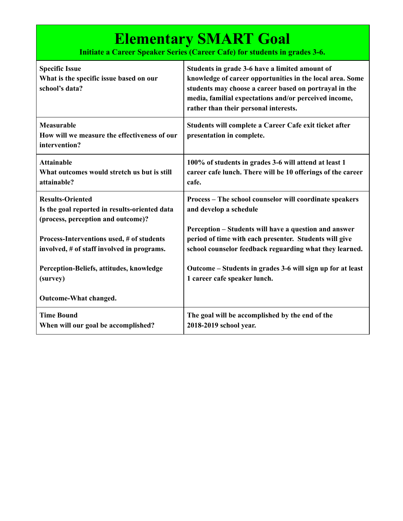**Initiate a Career Speaker Series (Career Cafe) for students in grades 3-6.** 

| <b>Specific Issue</b><br>What is the specific issue based on our<br>school's data? | Students in grade 3-6 have a limited amount of<br>knowledge of career opportunities in the local area. Some<br>students may choose a career based on portrayal in the<br>media, familial expectations and/or perceived income,<br>rather than their personal interests. |
|------------------------------------------------------------------------------------|-------------------------------------------------------------------------------------------------------------------------------------------------------------------------------------------------------------------------------------------------------------------------|
| Measurable<br>How will we measure the effectiveness of our<br>intervention?        | Students will complete a Career Cafe exit ticket after<br>presentation in complete.                                                                                                                                                                                     |
| <b>Attainable</b>                                                                  | 100% of students in grades 3-6 will attend at least 1                                                                                                                                                                                                                   |
| What outcomes would stretch us but is still                                        | career cafe lunch. There will be 10 offerings of the career                                                                                                                                                                                                             |
| attainable?                                                                        | cafe.                                                                                                                                                                                                                                                                   |
| <b>Results-Oriented</b>                                                            | Process – The school counselor will coordinate speakers                                                                                                                                                                                                                 |
| Is the goal reported in results-oriented data                                      | and develop a schedule                                                                                                                                                                                                                                                  |
| (process, perception and outcome)?                                                 | Perception – Students will have a question and answer                                                                                                                                                                                                                   |
| Process-Interventions used, # of students                                          | period of time with each presenter. Students will give                                                                                                                                                                                                                  |
| involved, # of staff involved in programs.                                         | school counselor feedback reguarding what they learned.                                                                                                                                                                                                                 |
| Perception-Beliefs, attitudes, knowledge                                           | Outcome – Students in grades 3-6 will sign up for at least                                                                                                                                                                                                              |
| (survey)                                                                           | 1 career cafe speaker lunch.                                                                                                                                                                                                                                            |
| Outcome-What changed.                                                              |                                                                                                                                                                                                                                                                         |
| <b>Time Bound</b>                                                                  | The goal will be accomplished by the end of the                                                                                                                                                                                                                         |
| When will our goal be accomplished?                                                | 2018-2019 school year.                                                                                                                                                                                                                                                  |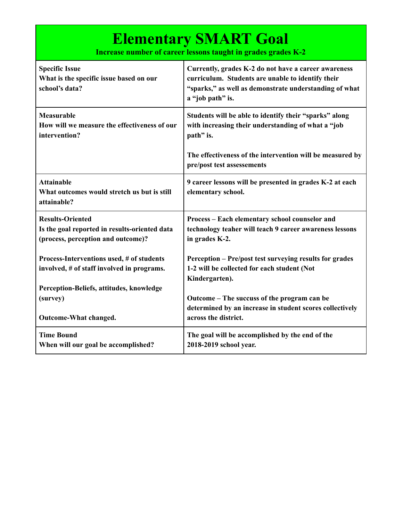**Increase number of career lessons taught in grades grades K-2** 

| <b>Specific Issue</b><br>What is the specific issue based on our<br>school's data? | Currently, grades K-2 do not have a career awareness<br>curriculum. Students are unable to identify their<br>"sparks," as well as demonstrate understanding of what<br>a "job path" is. |
|------------------------------------------------------------------------------------|-----------------------------------------------------------------------------------------------------------------------------------------------------------------------------------------|
| Measurable                                                                         | Students will be able to identify their "sparks" along                                                                                                                                  |
| How will we measure the effectiveness of our                                       | with increasing their understanding of what a "job                                                                                                                                      |
| intervention?                                                                      | path" is.                                                                                                                                                                               |
|                                                                                    | The effectiveness of the intervention will be measured by<br>pre/post test assessements                                                                                                 |
| <b>Attainable</b><br>What outcomes would stretch us but is still<br>attainable?    | 9 career lessons will be presented in grades K-2 at each<br>elementary school.                                                                                                          |
| <b>Results-Oriented</b>                                                            | Process - Each elementary school counselor and                                                                                                                                          |
| Is the goal reported in results-oriented data                                      | technology teaher will teach 9 career awareness lessons                                                                                                                                 |
| (process, perception and outcome)?                                                 | in grades K-2.                                                                                                                                                                          |
| Process-Interventions used, # of students                                          | Perception – Pre/post test surveying results for grades                                                                                                                                 |
| involved, # of staff involved in programs.                                         | 1-2 will be collected for each student (Not                                                                                                                                             |
| Perception-Beliefs, attitudes, knowledge                                           | Kindergarten).                                                                                                                                                                          |
| (survey)<br>Outcome-What changed.                                                  | Outcome – The succuss of the program can be<br>determined by an increase in student scores collectively<br>across the district.                                                         |
| <b>Time Bound</b>                                                                  | The goal will be accomplished by the end of the                                                                                                                                         |
| When will our goal be accomplished?                                                | 2018-2019 school year.                                                                                                                                                                  |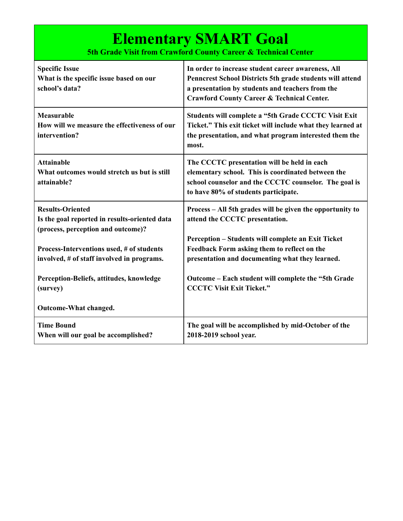**5th Grade Visit from Crawford County Career & Technical Center**

| <b>Specific Issue</b><br>What is the specific issue based on our<br>school's data?                             | In order to increase student career awareness, All<br>Penncrest School Districts 5th grade students will attend<br>a presentation by students and teachers from the<br><b>Crawford County Career &amp; Technical Center.</b> |
|----------------------------------------------------------------------------------------------------------------|------------------------------------------------------------------------------------------------------------------------------------------------------------------------------------------------------------------------------|
| <b>Measurable</b><br>How will we measure the effectiveness of our<br>intervention?                             | Students will complete a "5th Grade CCCTC Visit Exit<br>Ticket." This exit ticket will include what they learned at<br>the presentation, and what program interested them the<br>most.                                       |
| <b>Attainable</b><br>What outcomes would stretch us but is still<br>attainable?                                | The CCCTC presentation will be held in each<br>elementary school. This is coordinated between the<br>school counselor and the CCCTC counselor. The goal is<br>to have 80% of students participate.                           |
| <b>Results-Oriented</b><br>Is the goal reported in results-oriented data<br>(process, perception and outcome)? | Process – All 5th grades will be given the opportunity to<br>attend the CCCTC presentation.                                                                                                                                  |
| Process-Interventions used, # of students<br>involved, # of staff involved in programs.                        | Perception – Students will complete an Exit Ticket<br>Feedback Form asking them to reflect on the<br>presentation and documenting what they learned.                                                                         |
| Perception-Beliefs, attitudes, knowledge<br>(survey)                                                           | Outcome - Each student will complete the "5th Grade<br><b>CCCTC Visit Exit Ticket."</b>                                                                                                                                      |
| Outcome-What changed.                                                                                          |                                                                                                                                                                                                                              |
| <b>Time Bound</b><br>When will our goal be accomplished?                                                       | The goal will be accomplished by mid-October of the<br>2018-2019 school year.                                                                                                                                                |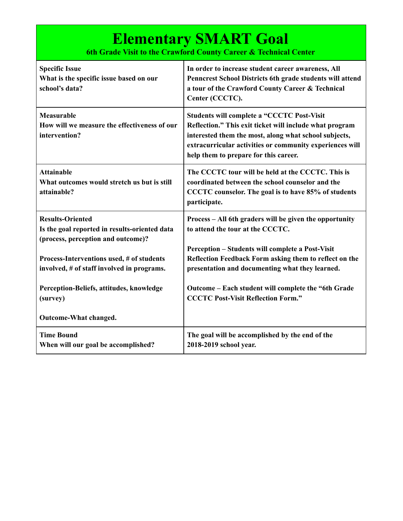**6th Grade Visit to the Crawford County Career & Technical Center**

| <b>Specific Issue</b><br>What is the specific issue based on our<br>school's data?                             | In order to increase student career awareness, All<br>Penncrest School Districts 6th grade students will attend<br>a tour of the Crawford County Career & Technical<br>Center (CCCTC).                                                                                     |
|----------------------------------------------------------------------------------------------------------------|----------------------------------------------------------------------------------------------------------------------------------------------------------------------------------------------------------------------------------------------------------------------------|
| Measurable<br>How will we measure the effectiveness of our<br>intervention?                                    | <b>Students will complete a "CCCTC Post-Visit</b><br>Reflection." This exit ticket will include what program<br>interested them the most, along what school subjects,<br>extracurricular activities or community experiences will<br>help them to prepare for this career. |
| <b>Attainable</b><br>What outcomes would stretch us but is still<br>attainable?                                | The CCCTC tour will be held at the CCCTC. This is<br>coordinated between the school counselor and the<br>CCCTC counselor. The goal is to have 85% of students<br>participate.                                                                                              |
| <b>Results-Oriented</b><br>Is the goal reported in results-oriented data<br>(process, perception and outcome)? | Process – All 6th graders will be given the opportunity<br>to attend the tour at the CCCTC.                                                                                                                                                                                |
| Process-Interventions used, # of students<br>involved, # of staff involved in programs.                        | Perception - Students will complete a Post-Visit<br>Reflection Feedback Form asking them to reflect on the<br>presentation and documenting what they learned.                                                                                                              |
| Perception-Beliefs, attitudes, knowledge<br>(survey)                                                           | Outcome – Each student will complete the "6th Grade"<br><b>CCCTC Post-Visit Reflection Form."</b>                                                                                                                                                                          |
| Outcome-What changed.                                                                                          |                                                                                                                                                                                                                                                                            |
| <b>Time Bound</b><br>When will our goal be accomplished?                                                       | The goal will be accomplished by the end of the<br>2018-2019 school year.                                                                                                                                                                                                  |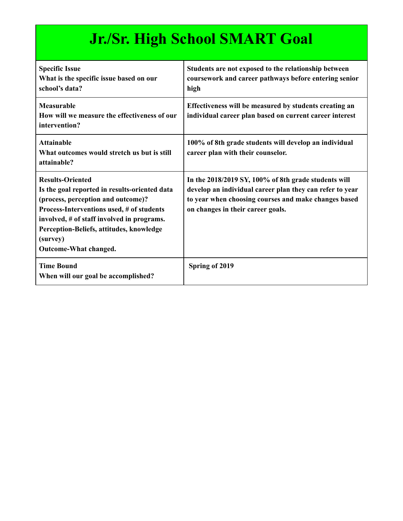# **Jr./Sr. High School SMART Goal**

| <b>Specific Issue</b><br>What is the specific issue based on our<br>school's data?                                                                                                                                                                                                         | Students are not exposed to the relationship between<br>coursework and career pathways before entering senior<br>high                                                                                         |
|--------------------------------------------------------------------------------------------------------------------------------------------------------------------------------------------------------------------------------------------------------------------------------------------|---------------------------------------------------------------------------------------------------------------------------------------------------------------------------------------------------------------|
| Measurable<br>How will we measure the effectiveness of our<br>intervention?                                                                                                                                                                                                                | Effectiveness will be measured by students creating an<br>individual career plan based on current career interest                                                                                             |
| <b>Attainable</b><br>What outcomes would stretch us but is still<br>attainable?                                                                                                                                                                                                            | 100% of 8th grade students will develop an individual<br>career plan with their counselor.                                                                                                                    |
| <b>Results-Oriented</b><br>Is the goal reported in results-oriented data<br>(process, perception and outcome)?<br>Process-Interventions used, # of students<br>involved, # of staff involved in programs.<br>Perception-Beliefs, attitudes, knowledge<br>(survey)<br>Outcome-What changed. | In the 2018/2019 SY, 100% of 8th grade students will<br>develop an individual career plan they can refer to year<br>to year when choosing courses and make changes based<br>on changes in their career goals. |
| <b>Time Bound</b><br>When will our goal be accomplished?                                                                                                                                                                                                                                   | Spring of 2019                                                                                                                                                                                                |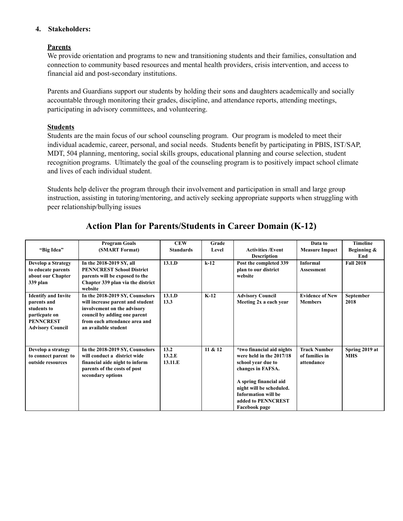#### **4. Stakeholders:**

#### **Parents**

We provide orientation and programs to new and transitioning students and their families, consultation and connection to community based resources and mental health providers, crisis intervention, and access to financial aid and post-secondary institutions.

Parents and Guardians support our students by holding their sons and daughters academically and socially accountable through monitoring their grades, discipline, and attendance reports, attending meetings, participating in advisory committees, and volunteering.

#### **Students**

Students are the main focus of our school counseling program. Our program is modeled to meet their individual academic, career, personal, and social needs. Students benefit by participating in PBIS, IST/SAP, MDT, 504 planning, mentoring, social skills groups, educational planning and course selection, student recognition programs. Ultimately the goal of the counseling program is to positively impact school climate and lives of each individual student.

Students help deliver the program through their involvement and participation in small and large group instruction, assisting in tutoring/mentoring, and actively seeking appropriate supports when struggling with peer relationship/bullying issues

| "Big Idea"                                                                                                               | <b>Program Goals</b><br>(SMART Format)                                                                                                                                                      | <b>CEW</b><br><b>Standards</b> | Grade<br>Level | <b>Activities /Event</b><br><b>Description</b>                                                                                                                                                                              | Data to<br><b>Measure Impact</b>                    | <b>Timeline</b><br>Beginning &<br>End |
|--------------------------------------------------------------------------------------------------------------------------|---------------------------------------------------------------------------------------------------------------------------------------------------------------------------------------------|--------------------------------|----------------|-----------------------------------------------------------------------------------------------------------------------------------------------------------------------------------------------------------------------------|-----------------------------------------------------|---------------------------------------|
| Develop a Strategy<br>to educate parents<br>about our Chapter<br>339 plan                                                | In the 2018-2019 SY, all<br><b>PENNCREST School District</b><br>parents will be exposed to the<br>Chapter 339 plan via the district<br>website                                              | 13.1.D                         | $k-12$         | Post the completed 339<br>plan to our district<br>website                                                                                                                                                                   | <b>Informal</b><br><b>Assessment</b>                | <b>Fall 2018</b>                      |
| <b>Identify and Invite</b><br>parents and<br>students to<br>particpate on<br><b>PENNCREST</b><br><b>Advisory Council</b> | In the 2018-2019 SY, Counselors<br>will increase parent and student<br>involvement on the advisory<br>council by adding one parent<br>from each attendance area and<br>an available student | 13.1.D<br>13.3                 | $K-12$         | <b>Advisory Council</b><br>Meeting 2x a each year                                                                                                                                                                           | <b>Evidence of New</b><br><b>Members</b>            | September<br>2018                     |
| Develop a strategy<br>to connect parent to<br>outside resources                                                          | In the 2018-2019 SY, Counselors<br>will conduct a district wide<br>financial aide night to inform<br>parents of the costs of post<br>secondary options                                      | 13.2<br>13.2.E<br>13.11.E      | 11 & 12        | *two financial aid nights<br>were held in the 2017/18<br>school year due to<br>changes in FAFSA.<br>A spring financial aid<br>night will be scheduled.<br><b>Information will be</b><br>added to PENNCREST<br>Facebook page | <b>Track Number</b><br>of families in<br>attendance | Spring 2019 at<br><b>MHS</b>          |

## **Action Plan for Parents/Students in Career Domain (K12)**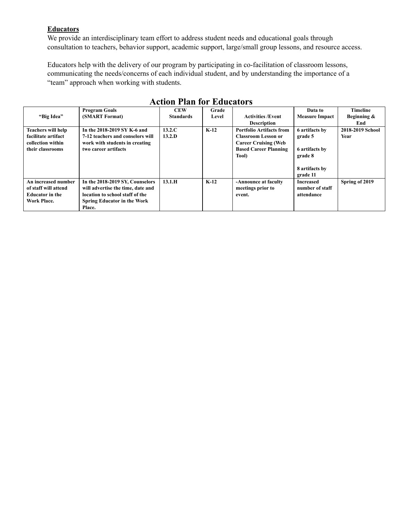#### **Educators**

We provide an interdisciplinary team effort to address student needs and educational goals through consultation to teachers, behavior support, academic support, large/small group lessons, and resource access.

Educators help with the delivery of our program by participating in co-facilitation of classroom lessons, communicating the needs/concerns of each individual student, and by understanding the importance of a "team" approach when working with students.

|                           | <b>Program Goals</b>               | <b>CEW</b>       | Grade  |                                 | Data to               | <b>Timeline</b>  |
|---------------------------|------------------------------------|------------------|--------|---------------------------------|-----------------------|------------------|
| "Big Idea"                | (SMART Format)                     | <b>Standards</b> | Level  | <b>Activities /Event</b>        | <b>Measure Impact</b> | Beginning &      |
|                           |                                    |                  |        | <b>Description</b>              |                       | End              |
| <b>Teachers will help</b> | In the 2018-2019 SY K-6 and        | 13.2.C           | $K-12$ | <b>Portfolio Artifacts from</b> | 6 artifacts by        | 2018-2019 School |
| facilitate artifact       | 7-12 teachers and conselors will   | 13.2.D           |        | <b>Classroom Lesson or</b>      | grade 5               | Year             |
| collection within         | work with students in creating     |                  |        | <b>Career Cruising (Web</b>     |                       |                  |
| their classrooms          | two career artifacts               |                  |        | <b>Based Career Planning</b>    | 6 artifacts by        |                  |
|                           |                                    |                  |        | Tool)                           | grade 8               |                  |
|                           |                                    |                  |        |                                 |                       |                  |
|                           |                                    |                  |        |                                 | 8 artifacts by        |                  |
|                           |                                    |                  |        |                                 | grade 11              |                  |
| An increased number       | In the 2018-2019 SY, Counselors    | 13.1.H           | $K-12$ | -Announce at faculty            | <b>Increased</b>      | Spring of 2019   |
| of staff will attend      | will advertise the time, date and  |                  |        | meetings prior to               | number of staff       |                  |
| <b>Educator</b> in the    | location to school staff of the    |                  |        | event.                          | attendance            |                  |
| Work Place.               | <b>Spring Educator in the Work</b> |                  |        |                                 |                       |                  |
|                           | Place.                             |                  |        |                                 |                       |                  |

### **Action Plan for Educators**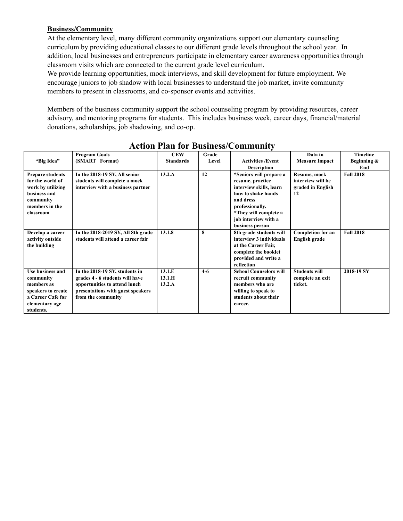#### **Business/Community**

At the elementary level, many different community organizations support our elementary counseling curriculum by providing educational classes to our different grade levels throughout the school year. In addition, local businesses and entrepreneurs participate in elementary career awareness opportunities through classroom visits which are connected to the current grade level curriculum.

We provide learning opportunities, mock interviews, and skill development for future employment. We encourage juniors to job shadow with local businesses to understand the job market, invite community members to present in classrooms, and co-sponsor events and activities.

Members of the business community support the school counseling program by providing resources, career advisory, and mentoring programs for students. This includes business week, career days, financial/material donations, scholarships, job shadowing, and co-op.

|                         | <b>Program Goals</b>               | <b>CEW</b>       | Grade |                               | Data to                  | <b>Timeline</b>  |
|-------------------------|------------------------------------|------------------|-------|-------------------------------|--------------------------|------------------|
| "Big Idea"              | (SMART Format)                     | <b>Standards</b> | Level | <b>Activities /Event</b>      | <b>Measure Impact</b>    | Beginning $\&$   |
|                         |                                    |                  |       | <b>Description</b>            |                          | End              |
| <b>Prepare students</b> | In the 2018-19 SY, All senior      | 13.2.A           | 12    | *Seniors will prepare a       | Resume, mock             | <b>Fall 2018</b> |
| for the world of        | students will complete a mock      |                  |       | resume, practice              | interview will be        |                  |
| work by utilizing       | interview with a business partner  |                  |       | interview skills, learn       | graded in English        |                  |
| business and            |                                    |                  |       | how to shake hands            | 12                       |                  |
| community               |                                    |                  |       | and dress                     |                          |                  |
| members in the          |                                    |                  |       | professionally.               |                          |                  |
| classroom               |                                    |                  |       | *They will complete a         |                          |                  |
|                         |                                    |                  |       | job interview with a          |                          |                  |
|                         |                                    |                  |       | business person               |                          |                  |
| Develop a career        | In the 2018-2019 SY, All 8th grade | 13.1.8           | 8     | 8th grade students will       | <b>Completion for an</b> | <b>Fall 2018</b> |
| activity outside        | students will attend a career fair |                  |       | interview 3 individuals       | English grade            |                  |
| the building            |                                    |                  |       | at the Career Fair,           |                          |                  |
|                         |                                    |                  |       | complete the booklet          |                          |                  |
|                         |                                    |                  |       | provided and write a          |                          |                  |
|                         |                                    |                  |       | reflection                    |                          |                  |
| Use business and        | In the 2018-19 SY, students in     | 13.1.E           | $4-6$ | <b>School Counselors will</b> | <b>Students will</b>     | 2018-19 SY       |
| community               | grades 4 - 6 students will have    | 13.1.H           |       | recruit community             | complete an exit         |                  |
| members as              | opportunities to attend lunch      | 13.2.A           |       | members who are               | ticket.                  |                  |
| speakers to create      | presentations with guest speakers  |                  |       | willing to speak to           |                          |                  |
| a Career Cafe for       | from the community                 |                  |       | students about their          |                          |                  |
| elementary age          |                                    |                  |       | career.                       |                          |                  |
| students.               |                                    |                  |       |                               |                          |                  |

## **Action Plan for Business/Community**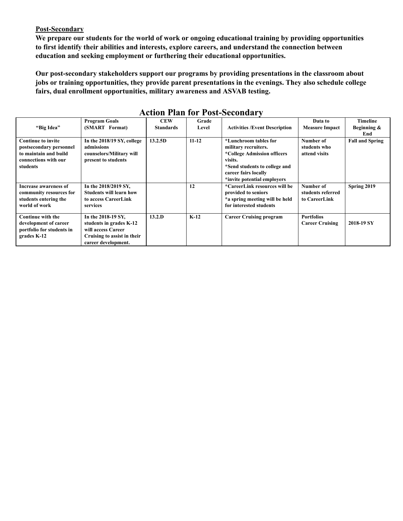#### **Post-Secondary**

**We prepare our students for the world of work or ongoing educational training by providing opportunities to first identify their abilities and interests, explore careers, and understand the connection between education and seeking employment or furthering their educational opportunities.**

**Our postsecondary stakeholders support our programs by providing presentations in the classroom about jobs or training opportunities, they provide parent presentations in the evenings. They also schedule college fairs, dual enrollment opportunities, military awareness and ASVAB testing.**

|                           | TICHON I RHI IOI I OSC DCCONGHI ( |                  |           |                                      |                        |                        |
|---------------------------|-----------------------------------|------------------|-----------|--------------------------------------|------------------------|------------------------|
|                           | <b>Program Goals</b>              | <b>CEW</b>       | Grade     |                                      | Data to                | Timeline               |
| "Big Idea"                | (SMART Format)                    | <b>Standards</b> | Level     | <b>Activities /Event Description</b> | <b>Measure Impact</b>  | Beginning &            |
|                           |                                   |                  |           |                                      |                        | End                    |
| <b>Continue to invite</b> | In the 2018/19 SY, college        | 13.2.5D          | $11 - 12$ | *Lunchroom tables for                | Number of              | <b>Fall and Spring</b> |
| postsecondary personnel   | admissions                        |                  |           | military recruiters.                 | students who           |                        |
| to maintain and build     | counselors/Military will          |                  |           | *College Admission officers          | attend visits          |                        |
| connections with our      | present to students               |                  |           | visits.                              |                        |                        |
| students                  |                                   |                  |           | *Send students to college and        |                        |                        |
|                           |                                   |                  |           | career fairs locally                 |                        |                        |
|                           |                                   |                  |           | *invite potential employers          |                        |                        |
| Increase awareness of     | In the 2018/2019 SY,              |                  | 12        | *CareerLink resources will be        | Number of              | Spring 2019            |
| community resources for   | <b>Students will learn how</b>    |                  |           | provided to seniors                  | students referred      |                        |
| students entering the     | to access CareerLink              |                  |           | *a spring meeting will be held       | to CareerLink          |                        |
| world of work             | services                          |                  |           | for interested students              |                        |                        |
|                           |                                   |                  |           |                                      |                        |                        |
| Continue with the         | In the 2018-19 SY,                | 13.2.D           | $K-12$    | <b>Career Cruising program</b>       | <b>Portfolios</b>      |                        |
| development of career     | students in grades K-12           |                  |           |                                      | <b>Career Cruising</b> | 2018-19 SY             |
| portfolio for students in | will access Career                |                  |           |                                      |                        |                        |
| grades K-12               | Cruising to assist in their       |                  |           |                                      |                        |                        |
|                           | career development.               |                  |           |                                      |                        |                        |

#### **Action Plan for Post-Secondary**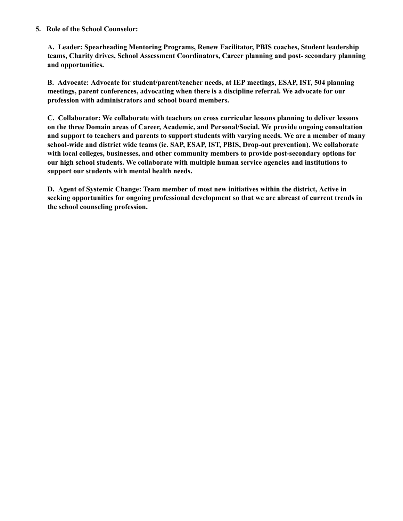#### **5. Role of the School Counselor:**

**A. Leader: Spearheading Mentoring Programs, Renew Facilitator, PBIS coaches, Student leadership teams, Charity drives, School Assessment Coordinators, Career planning and post secondary planning and opportunities.**

**B. Advocate: Advocate for student/parent/teacher needs, at IEP meetings, ESAP, IST, 504 planning meetings, parent conferences, advocating when there is a discipline referral. We advocate for our profession with administrators and school board members.**

**C. Collaborator: We collaborate with teachers on cross curricular lessons planning to deliver lessons on the three Domain areas of Career, Academic, and Personal/Social. We provide ongoing consultation** and support to teachers and parents to support students with varying needs. We are a member of many **schoolwide and district wide teams (ie. SAP, ESAP, IST, PBIS, Dropout prevention). We collaborate with local colleges, businesses, and other community members to provide postsecondary options for our high school students. We collaborate with multiple human service agencies and institutions to support our students with mental health needs.**

**D. Agent of Systemic Change: Team member of most new initiatives within the district, Active in seeking opportunities for ongoing professional development so that we are abreast of current trends in the school counseling profession.**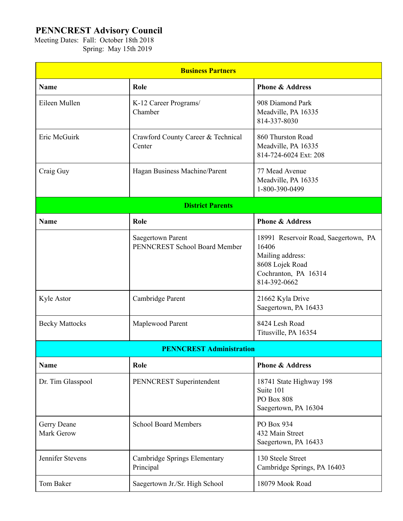## **PENNCREST Advisory Council**

Meeting Dates: Fall: October 18th 2018 Spring: May 15th 2019

|                           | <b>Business Partners</b>                                  |                                                                                                                              |
|---------------------------|-----------------------------------------------------------|------------------------------------------------------------------------------------------------------------------------------|
| <b>Name</b>               | Role                                                      | <b>Phone &amp; Address</b>                                                                                                   |
| Eileen Mullen             | K-12 Career Programs/<br>Chamber                          | 908 Diamond Park<br>Meadville, PA 16335<br>814-337-8030                                                                      |
| Eric McGuirk              | Crawford County Career & Technical<br>Center              | 860 Thurston Road<br>Meadville, PA 16335<br>814-724-6024 Ext: 208                                                            |
| Craig Guy                 | Hagan Business Machine/Parent                             | 77 Mead Avenue<br>Meadville, PA 16335<br>1-800-390-0499                                                                      |
|                           | <b>District Parents</b>                                   |                                                                                                                              |
| <b>Name</b>               | Role                                                      | <b>Phone &amp; Address</b>                                                                                                   |
|                           | <b>Saegertown Parent</b><br>PENNCREST School Board Member | 18991 Reservoir Road, Saegertown, PA<br>16406<br>Mailing address:<br>8608 Lojek Road<br>Cochranton, PA 16314<br>814-392-0662 |
| Kyle Astor                | Cambridge Parent                                          | 21662 Kyla Drive<br>Saegertown, PA 16433                                                                                     |
| <b>Becky Mattocks</b>     | Maplewood Parent                                          | 8424 Lesh Road<br>Titusville, PA 16354                                                                                       |
|                           | <b>PENNCREST Administration</b>                           |                                                                                                                              |
| <b>Name</b>               | Role                                                      | <b>Phone &amp; Address</b>                                                                                                   |
| Dr. Tim Glasspool         | PENNCREST Superintendent                                  | 18741 State Highway 198<br>Suite 101<br><b>PO Box 808</b><br>Saegertown, PA 16304                                            |
| Gerry Deane<br>Mark Gerow | <b>School Board Members</b>                               | PO Box 934<br>432 Main Street<br>Saegertown, PA 16433                                                                        |
| Jennifer Stevens          | Cambridge Springs Elementary<br>Principal                 | 130 Steele Street<br>Cambridge Springs, PA 16403                                                                             |
| Tom Baker                 | Saegertown Jr./Sr. High School                            | 18079 Mook Road                                                                                                              |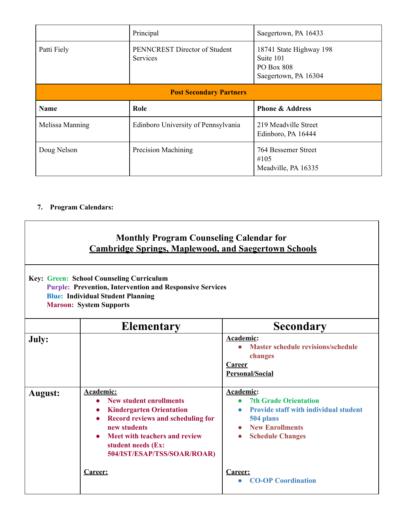|                                | Principal                                        | Saegertown, PA 16433                                                              |  |  |  |
|--------------------------------|--------------------------------------------------|-----------------------------------------------------------------------------------|--|--|--|
| Patti Fiely                    | PENNCREST Director of Student<br><b>Services</b> | 18741 State Highway 198<br>Suite 101<br><b>PO Box 808</b><br>Saegertown, PA 16304 |  |  |  |
| <b>Post Secondary Partners</b> |                                                  |                                                                                   |  |  |  |
|                                |                                                  |                                                                                   |  |  |  |
| <b>Name</b>                    | Role                                             | <b>Phone &amp; Address</b>                                                        |  |  |  |
| Melissa Manning                | Edinboro University of Pennsylvania              | 219 Meadville Street<br>Edinboro, PA 16444                                        |  |  |  |

### **7. Program Calendars:**

## **Monthly Program Counseling Calendar for Cambridge Springs, Maplewood, and Saegertown Schools**

**Key: Green: School Counseling Curriculum Purple: Prevention, Intervention and Responsive Services Blue: Individual Student Planning Maroon: System Supports**

|                | <b>Elementary</b>                                                                                                                                                                                                                                     | <b>Secondary</b>                                                                                                                                                                      |
|----------------|-------------------------------------------------------------------------------------------------------------------------------------------------------------------------------------------------------------------------------------------------------|---------------------------------------------------------------------------------------------------------------------------------------------------------------------------------------|
| July:          |                                                                                                                                                                                                                                                       | Academic:<br>Master schedule revisions/schedule<br>$\bullet$<br>changes<br><b>Career</b><br><b>Personal/Social</b>                                                                    |
| <b>August:</b> | Academic:<br><b>New student enrollments</b><br><b>Kindergarten Orientation</b><br>$\bullet$<br>Record reviews and scheduling for<br>$\bullet$<br>new students<br>• Meet with teachers and review<br>student needs (Ex:<br>504/IST/ESAP/TSS/SOAR/ROAR) | Academic:<br><b>7th Grade Orientation</b><br><b>Provide staff with individual student</b><br>504 plans<br><b>New Enrollments</b><br>$\bullet$<br><b>Schedule Changes</b><br>$\bullet$ |
|                | Career:                                                                                                                                                                                                                                               | Career:<br><b>CO-OP Coordination</b>                                                                                                                                                  |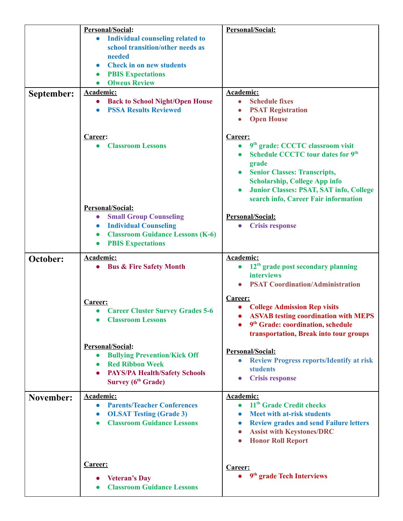|                  | <b>Personal/Social:</b>                                                    | Personal/Social:                                                                |
|------------------|----------------------------------------------------------------------------|---------------------------------------------------------------------------------|
|                  | <b>Individual counseling related to</b><br>$\bullet$                       |                                                                                 |
|                  | school transition/other needs as                                           |                                                                                 |
|                  | needed                                                                     |                                                                                 |
|                  | <b>Check in on new students</b><br>$\bullet$                               |                                                                                 |
|                  | <b>PBIS Expectations</b><br>$\bullet$<br><b>Olweus Review</b><br>$\bullet$ |                                                                                 |
|                  | <b>Academic:</b>                                                           | Academic:                                                                       |
| September:       | <b>Back to School Night/Open House</b><br>$\bullet$                        | <b>Schedule fixes</b><br>$\bullet$                                              |
|                  | <b>PSSA Results Reviewed</b><br>$\bullet$                                  | <b>PSAT Registration</b><br>$\bullet$                                           |
|                  |                                                                            | <b>Open House</b>                                                               |
|                  |                                                                            |                                                                                 |
|                  | Career:                                                                    | Career:                                                                         |
|                  | <b>Classroom Lessons</b>                                                   | 9 <sup>th</sup> grade: CCCTC classroom visit                                    |
|                  |                                                                            | <b>Schedule CCCTC tour dates for 9th</b>                                        |
|                  |                                                                            | grade                                                                           |
|                  |                                                                            | <b>Senior Classes: Transcripts,</b>                                             |
|                  |                                                                            | <b>Scholarship, College App info</b>                                            |
|                  |                                                                            | <b>Junior Classes: PSAT, SAT info, College</b>                                  |
|                  |                                                                            | search info, Career Fair information                                            |
|                  | Personal/Social:                                                           |                                                                                 |
|                  | <b>Small Group Counseling</b><br>$\bullet$<br><b>Individual Counseling</b> | <b>Personal/Social:</b><br><b>Crisis response</b>                               |
|                  | $\bullet$<br><b>Classroom Guidance Lessons (K-6)</b><br>$\bullet$          |                                                                                 |
|                  | <b>PBIS Expectations</b><br>$\bullet$                                      |                                                                                 |
|                  |                                                                            |                                                                                 |
| October:         | Academic:                                                                  | Academic:                                                                       |
|                  | <b>Bus &amp; Fire Safety Month</b><br>$\bullet$                            | 12 <sup>th</sup> grade post secondary planning<br>$\bullet$                     |
|                  |                                                                            | <b>interviews</b>                                                               |
|                  |                                                                            | <b>PSAT Coordination/Administration</b>                                         |
|                  | Career:                                                                    | Career:                                                                         |
|                  | <b>Career Cluster Survey Grades 5-6</b>                                    | <b>College Admission Rep visits</b><br>$\bullet$                                |
|                  | <b>Classroom Lessons</b>                                                   | <b>ASVAB</b> testing coordination with MEPS<br>$\bullet$                        |
|                  |                                                                            | 9 <sup>th</sup> Grade: coordination, schedule                                   |
|                  |                                                                            | transportation, Break into tour groups                                          |
|                  | <b>Personal/Social:</b>                                                    |                                                                                 |
|                  | <b>Bullying Prevention/Kick Off</b><br>$\bullet$                           | Personal/Social:                                                                |
|                  | <b>Red Ribbon Week</b><br>$\bullet$                                        | <b>Review Progress reports/Identify at risk</b><br>$\bullet$<br><b>students</b> |
|                  | <b>PAYS/PA Health/Safety Schools</b><br>$\bullet$                          | <b>Crisis response</b><br>$\bullet$                                             |
|                  | Survey $(6th Grade)$                                                       |                                                                                 |
| <b>November:</b> | Academic:                                                                  | <b>Academic:</b>                                                                |
|                  | <b>Parents/Teacher Conferences</b><br>$\bullet$                            | 11 <sup>th</sup> Grade Credit checks<br>$\bullet$                               |
|                  | <b>OLSAT Testing (Grade 3)</b><br>$\bullet$                                | <b>Meet with at-risk students</b><br>$\bullet$                                  |
|                  | <b>Classroom Guidance Lessons</b><br>$\bullet$                             | <b>Review grades and send Failure letters</b><br>$\bullet$                      |
|                  |                                                                            | <b>Assist with Keystones/DRC</b><br>$\bullet$                                   |
|                  |                                                                            | <b>Honor Roll Report</b>                                                        |
|                  |                                                                            |                                                                                 |
|                  |                                                                            |                                                                                 |
|                  | <b>Career:</b>                                                             | <b>Career:</b>                                                                  |
|                  | <b>Veteran's Day</b>                                                       | 9 <sup>th</sup> grade Tech Interviews                                           |
|                  | <b>Classroom Guidance Lessons</b>                                          |                                                                                 |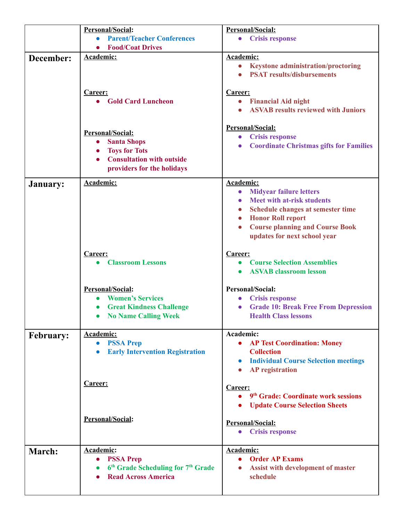|                  | <b>Personal/Social:</b>                                                                                                                                                 | Personal/Social:                                                                                                                                                                                                                                                                      |  |  |
|------------------|-------------------------------------------------------------------------------------------------------------------------------------------------------------------------|---------------------------------------------------------------------------------------------------------------------------------------------------------------------------------------------------------------------------------------------------------------------------------------|--|--|
|                  | <b>Parent/Teacher Conferences</b><br>$\bullet$                                                                                                                          | • Crisis response                                                                                                                                                                                                                                                                     |  |  |
|                  | <b>Food/Coat Drives</b><br>$\bullet$                                                                                                                                    |                                                                                                                                                                                                                                                                                       |  |  |
| December:        | <b>Academic:</b>                                                                                                                                                        | Academic:<br><b>Keystone administration/proctoring</b><br><b>PSAT</b> results/disbursements                                                                                                                                                                                           |  |  |
|                  | <b>Career:</b><br>• Gold Card Luncheon                                                                                                                                  | <b>Career:</b><br>• Financial Aid night<br><b>ASVAB results reviewed with Juniors</b>                                                                                                                                                                                                 |  |  |
|                  | Personal/Social:<br><b>Santa Shops</b><br>$\bullet$<br><b>Toys for Tots</b><br>$\bullet$<br><b>Consultation with outside</b><br>$\bullet$<br>providers for the holidays | <b>Personal/Social:</b><br>• Crisis response<br><b>Coordinate Christmas gifts for Families</b>                                                                                                                                                                                        |  |  |
| January:         | Academic:                                                                                                                                                               | Academic:<br><b>Midyear failure letters</b><br>$\bullet$<br>Meet with at-risk students<br>$\bullet$<br>Schedule changes at semester time<br>$\bullet$<br><b>Honor Roll report</b><br>$\bullet$<br><b>Course planning and Course Book</b><br>$\bullet$<br>updates for next school year |  |  |
|                  | Career:<br><b>Classroom Lessons</b><br>$\bullet$                                                                                                                        | Career:<br><b>Course Selection Assemblies</b><br><b>ASVAB</b> classroom lesson<br>$\bullet$                                                                                                                                                                                           |  |  |
|                  | <b>Personal/Social:</b><br><b>Women's Services</b><br><b>Great Kindness Challenge</b><br>$\bullet$<br><b>No Name Calling Week</b><br>$\bullet$                          | <b>Personal/Social:</b><br><b>Crisis response</b><br>$\bullet$<br>• Grade 10: Break Free From Depression<br><b>Health Class lessons</b>                                                                                                                                               |  |  |
| <b>February:</b> | Academic:<br><b>PSSA Prep</b><br>$\bullet$<br><b>Early Intervention Registration</b><br>$\bullet$                                                                       | Academic:<br>• AP Test Coordination: Money<br><b>Collection</b><br>• Individual Course Selection meetings<br>• AP registration                                                                                                                                                        |  |  |
|                  | <b>Career:</b>                                                                                                                                                          | Career:<br>$\bullet$ 9 <sup>th</sup> Grade: Coordinate work sessions<br>• Update Course Selection Sheets                                                                                                                                                                              |  |  |
|                  | Personal/Social:                                                                                                                                                        | Personal/Social:<br>• Crisis response                                                                                                                                                                                                                                                 |  |  |
| March:           | Academic:<br><b>PSSA Prep</b><br>$\bullet$<br>6 <sup>th</sup> Grade Scheduling for 7 <sup>th</sup> Grade<br>$\bullet$<br><b>Read Across America</b><br>$\bullet$        | Academic:<br><b>Order AP Exams</b><br>Assist with development of master<br>$\bullet$<br>schedule                                                                                                                                                                                      |  |  |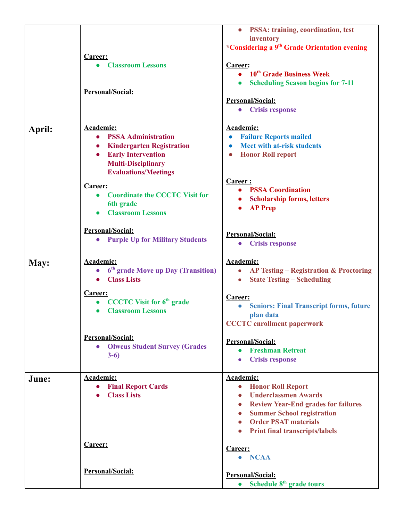|        | Career:<br><b>Classroom Lessons</b><br>$\bullet$<br>Personal/Social:                                                                                                                                                                                                                               | • PSSA: training, coordination, test<br>inventory<br>*Considering a 9 <sup>th</sup> Grade Orientation evening<br>Career:<br>$\bullet$ 10 <sup>th</sup> Grade Business Week<br>• Scheduling Season begins for 7-11<br><b>Personal/Social:</b><br>• Crisis response                                |
|--------|----------------------------------------------------------------------------------------------------------------------------------------------------------------------------------------------------------------------------------------------------------------------------------------------------|--------------------------------------------------------------------------------------------------------------------------------------------------------------------------------------------------------------------------------------------------------------------------------------------------|
| April: | <b>Academic:</b><br><b>PSSA Administration</b><br><b>Kindergarten Registration</b><br>$\bullet$<br><b>Early Intervention</b><br><b>Multi-Disciplinary</b><br><b>Evaluations/Meetings</b><br>Career:<br><b>Coordinate the CCCTC Visit for</b><br>$\bullet$<br>6th grade<br><b>Classroom Lessons</b> | <b>Academic:</b><br><b>Failure Reports mailed</b><br>$\bullet$<br><b>Meet with at-risk students</b><br>$\bullet$<br><b>Honor Roll report</b><br>$\bullet$<br>Career:<br><b>PSSA Coordination</b><br><b>Scholarship forms, letters</b><br>$\bullet$<br><b>AP Prep</b><br>$\bullet$                |
|        | <b>Personal/Social:</b><br>• Purple Up for Military Students                                                                                                                                                                                                                                       | Personal/Social:<br>• Crisis response                                                                                                                                                                                                                                                            |
| May:   | Academic:<br>6 <sup>th</sup> grade Move up Day (Transition)<br><b>Class Lists</b><br>$\bullet$<br><b>Career:</b><br><b>CCCTC Visit for 6th grade</b><br><b>Classroom Lessons</b><br>$\bullet$                                                                                                      | Academic:<br><b>AP Testing – Registration &amp; Proctoring</b><br><b>State Testing – Scheduling</b><br>$\bullet$<br>Career:<br><b>Seniors: Final Transcript forms, future</b><br>$\bullet$<br>plan data<br><b>CCCTC</b> enrollment paperwork                                                     |
|        | <b>Personal/Social:</b><br><b>Olweus Student Survey (Grades</b><br>$\bullet$<br>$3-6$                                                                                                                                                                                                              | Personal/Social:<br><b>Freshman Retreat</b><br>$\bullet$<br><b>Crisis response</b><br>$\bullet$                                                                                                                                                                                                  |
| June:  | Academic:<br><b>Final Report Cards</b><br>$\bullet$<br><b>Class Lists</b>                                                                                                                                                                                                                          | Academic:<br><b>Honor Roll Report</b><br>$\bullet$<br><b>Underclassmen Awards</b><br><b>Review Year-End grades for failures</b><br>$\bullet$<br><b>Summer School registration</b><br>$\bullet$<br><b>Order PSAT materials</b><br>$\bullet$<br><b>Print final transcripts/labels</b><br>$\bullet$ |
|        | Career:                                                                                                                                                                                                                                                                                            | Career:<br>• NCAA                                                                                                                                                                                                                                                                                |
|        | Personal/Social:                                                                                                                                                                                                                                                                                   | Personal/Social:<br>Schedule 8 <sup>th</sup> grade tours<br>$\bullet$                                                                                                                                                                                                                            |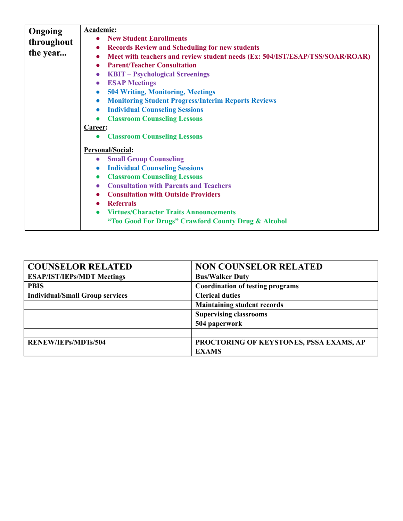| Ongoing    | Academic:                                                                                 |  |  |
|------------|-------------------------------------------------------------------------------------------|--|--|
| throughout | • New Student Enrollments                                                                 |  |  |
| the year   | <b>Records Review and Scheduling for new students</b><br>$\bullet$                        |  |  |
|            | Meet with teachers and review student needs (Ex: 504/IST/ESAP/TSS/SOAR/ROAR)<br>$\bullet$ |  |  |
|            | <b>Parent/Teacher Consultation</b><br>$\bullet$                                           |  |  |
|            | <b>KBIT</b> – Psychological Screenings<br>$\bullet$                                       |  |  |
|            | <b>ESAP Meetings</b><br>$\bullet$                                                         |  |  |
|            | <b>504 Writing, Monitoring, Meetings</b><br>$\bullet$                                     |  |  |
|            | <b>Monitoring Student Progress/Interim Reports Reviews</b><br>$\bullet$                   |  |  |
|            | <b>Individual Counseling Sessions</b><br>$\bullet$                                        |  |  |
|            | <b>Classroom Counseling Lessons</b>                                                       |  |  |
|            | Career:                                                                                   |  |  |
|            | <b>Classroom Counseling Lessons</b><br>$\bullet$                                          |  |  |
|            |                                                                                           |  |  |
|            | Personal/Social:                                                                          |  |  |
|            | <b>Small Group Counseling</b><br>$\bullet$                                                |  |  |
|            | <b>Individual Counseling Sessions</b><br>$\bullet$                                        |  |  |
|            | <b>Classroom Counseling Lessons</b><br>$\bullet$                                          |  |  |
|            | <b>Consultation with Parents and Teachers</b><br>$\bullet$                                |  |  |
|            | <b>Consultation with Outside Providers</b><br>$\bullet$                                   |  |  |
|            | <b>Referrals</b><br>$\bullet$                                                             |  |  |
|            | <b>Virtues/Character Traits Announcements</b>                                             |  |  |
|            | "Too Good For Drugs" Crawford County Drug & Alcohol                                       |  |  |
|            |                                                                                           |  |  |

| <b>COUNSELOR RELATED</b>               | <b>NON COUNSELOR RELATED</b>            |
|----------------------------------------|-----------------------------------------|
| <b>ESAP/IST/IEPs/MDT Meetings</b>      | <b>Bus/Walker Duty</b>                  |
| <b>PBIS</b>                            | <b>Coordination of testing programs</b> |
| <b>Individual/Small Group services</b> | <b>Clerical duties</b>                  |
|                                        | <b>Maintaining student records</b>      |
|                                        | <b>Supervising classrooms</b>           |
|                                        | 504 paperwork                           |
|                                        |                                         |
| <b>RENEW/IEPs/MDTs/504</b>             | PROCTORING OF KEYSTONES, PSSA EXAMS, AP |
|                                        | <b>EXAMS</b>                            |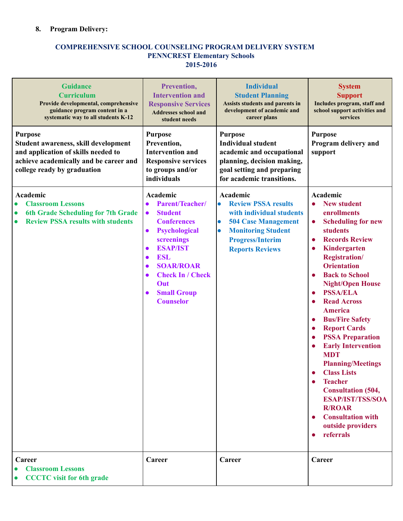### **8. Program Delivery:**

#### **COMPREHENSIVE SCHOOL COUNSELING PROGRAM DELIVERY SYSTEM PENNCREST Elementary Schools 20152016**

| <b>Guidance</b><br><b>Curriculum</b><br>Provide developmental, comprehensive<br>guidance program content in a<br>systematic way to all students K-12                   | Prevention,<br><b>Intervention and</b><br><b>Responsive Services</b><br><b>Addresses school and</b><br>student needs                                                                                                                                                                                                                               | <b>Individual</b><br><b>Student Planning</b><br>Assists students and parents in<br>development of academic and<br>career plans                                                                                            | <b>System</b><br><b>Support</b><br>Includes program, staff and<br>school support activities and<br>services                                                                                                                                                                                                                                                                                                                                                                                                                                                                                                                                                                               |  |
|------------------------------------------------------------------------------------------------------------------------------------------------------------------------|----------------------------------------------------------------------------------------------------------------------------------------------------------------------------------------------------------------------------------------------------------------------------------------------------------------------------------------------------|---------------------------------------------------------------------------------------------------------------------------------------------------------------------------------------------------------------------------|-------------------------------------------------------------------------------------------------------------------------------------------------------------------------------------------------------------------------------------------------------------------------------------------------------------------------------------------------------------------------------------------------------------------------------------------------------------------------------------------------------------------------------------------------------------------------------------------------------------------------------------------------------------------------------------------|--|
| <b>Purpose</b><br>Student awareness, skill development<br>and application of skills needed to<br>achieve academically and be career and<br>college ready by graduation | <b>Purpose</b><br>Prevention,<br><b>Intervention and</b><br><b>Responsive services</b><br>to groups and/or<br>individuals                                                                                                                                                                                                                          | <b>Purpose</b><br><b>Individual student</b><br>academic and occupational<br>planning, decision making,<br>goal setting and preparing<br>for academic transitions.                                                         | <b>Purpose</b><br>Program delivery and<br>support                                                                                                                                                                                                                                                                                                                                                                                                                                                                                                                                                                                                                                         |  |
| Academic<br><b>Classroom Lessons</b><br>$\bullet$<br>6th Grade Scheduling for 7th Grade<br>$\bullet$<br><b>Review PSSA results with students</b><br>$\bullet$          | Academic<br>Parent/Teacher/<br>$\bullet$<br><b>Student</b><br>$\bullet$<br><b>Conferences</b><br><b>Psychological</b><br>$\bullet$<br>screenings<br><b>ESAP/IST</b><br>$\bullet$<br><b>ESL</b><br>$\bullet$<br><b>SOAR/ROAR</b><br>$\bullet$<br><b>Check In / Check</b><br>$\bullet$<br>Out<br><b>Small Group</b><br>$\bullet$<br><b>Counselor</b> | Academic<br><b>Review PSSA results</b><br>$\bullet$<br>with individual students<br><b>504 Case Management</b><br>$\bullet$<br><b>Monitoring Student</b><br>$\bullet$<br><b>Progress/Interim</b><br><b>Reports Reviews</b> | Academic<br><b>New student</b><br>enrollments<br><b>Scheduling for new</b><br>$\bullet$<br><b>students</b><br><b>Records Review</b><br>Kindergarten<br><b>Registration/</b><br><b>Orientation</b><br><b>Back to School</b><br><b>Night/Open House</b><br><b>PSSA/ELA</b><br>$\bullet$<br><b>Read Across</b><br><b>America</b><br><b>Bus/Fire Safety</b><br><b>Report Cards</b><br>$\bullet$<br><b>PSSA Preparation</b><br><b>Early Intervention</b><br><b>MDT</b><br><b>Planning/Meetings</b><br><b>Class Lists</b><br><b>Teacher</b><br><b>Consultation (504,</b><br><b>ESAP/IST/TSS/SOA</b><br><b>R/ROAR</b><br><b>Consultation with</b><br>outside providers<br>referrals<br>$\bullet$ |  |
| Career<br><b>Classroom Lessons</b><br>$\bullet$<br><b>CCCTC</b> visit for 6th grade<br>$\bullet$                                                                       | Career                                                                                                                                                                                                                                                                                                                                             | Career                                                                                                                                                                                                                    | Career                                                                                                                                                                                                                                                                                                                                                                                                                                                                                                                                                                                                                                                                                    |  |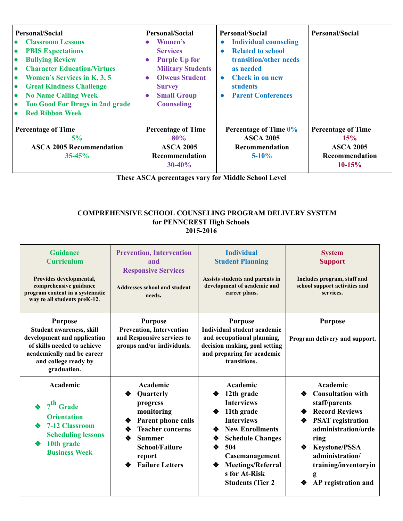| <b>Personal/Social</b><br><b>Classroom Lessons</b><br>$\bullet$<br><b>PBIS Expectations</b><br>$\bullet$<br><b>Bullying Review</b><br>$\bullet$<br><b>Character Education/Virtues</b><br>$\bullet$<br>Women's Services in K, 3, 5<br>$\bullet$<br><b>Great Kindness Challenge</b><br>$\bullet$<br><b>No Name Calling Week</b><br>$\bullet$<br><b>Too Good For Drugs in 2nd grade</b><br>$\bullet$<br><b>Red Ribbon Week</b><br>$\bullet$ | <b>Personal/Social</b><br>Women's<br>$\bullet$<br><b>Services</b><br><b>Purple Up for</b><br>٠<br><b>Military Students</b><br><b>Olweus Student</b><br>$\bullet$<br><b>Survey</b><br><b>Small Group</b><br>$\bullet$<br><b>Counseling</b> | <b>Personal/Social</b><br><b>Individual counseling</b><br>$\bullet$<br><b>Related to school</b><br>$\bullet$<br>transition/other needs<br>as needed<br><b>Check in on new</b><br>$\bullet$<br><b>students</b><br><b>Parent Conferences</b><br>$\bullet$ |                                                                                    |
|------------------------------------------------------------------------------------------------------------------------------------------------------------------------------------------------------------------------------------------------------------------------------------------------------------------------------------------------------------------------------------------------------------------------------------------|-------------------------------------------------------------------------------------------------------------------------------------------------------------------------------------------------------------------------------------------|---------------------------------------------------------------------------------------------------------------------------------------------------------------------------------------------------------------------------------------------------------|------------------------------------------------------------------------------------|
| <b>Percentage of Time</b><br>5%<br><b>ASCA 2005 Recommendation</b><br>$35 - 45%$                                                                                                                                                                                                                                                                                                                                                         | <b>Percentage of Time</b><br>80%<br><b>ASCA 2005</b><br>Recommendation<br>$30 - 40%$                                                                                                                                                      | <b>Percentage of Time 0%</b><br><b>ASCA 2005</b><br>Recommendation<br>$5 - 10\%$                                                                                                                                                                        | <b>Percentage of Time</b><br>15%<br><b>ASCA 2005</b><br>Recommendation<br>$10-15%$ |

**These ASCA percentages vary for Middle School Level**

#### **COMPREHENSIVE SCHOOL COUNSELING PROGRAM DELIVERY SYSTEM for PENNCREST High Schools 20152016**

| <b>Guidance</b><br><b>Curriculum</b><br>Provides developmental,<br>comprehensive guidance<br>program content in a systematic<br>way to all students preK-12.                  | <b>Prevention, Intervention</b><br>and<br><b>Responsive Services</b><br><b>Addresses school and student</b><br>needs.                                                                              | <b>Individual</b><br><b>Student Planning</b><br>Assists students and parents in<br>development of academic and<br>career plans.                                                                                                                                    | <b>System</b><br><b>Support</b><br>Includes program, staff and<br>school support activities and<br>services.                                                                                                                                                 |  |
|-------------------------------------------------------------------------------------------------------------------------------------------------------------------------------|----------------------------------------------------------------------------------------------------------------------------------------------------------------------------------------------------|--------------------------------------------------------------------------------------------------------------------------------------------------------------------------------------------------------------------------------------------------------------------|--------------------------------------------------------------------------------------------------------------------------------------------------------------------------------------------------------------------------------------------------------------|--|
| <b>Purpose</b><br>Student awareness, skill<br>development and application<br>of skills needed to achieve<br>academically and be career<br>and college ready by<br>graduation. | <b>Purpose</b><br><b>Prevention, Intervention</b><br>and Responsive services to<br>groups and/or individuals.                                                                                      | <b>Purpose</b><br>Individual student academic<br>and occupational planning,<br>decision making, goal setting<br>and preparing for academic<br>transitions.                                                                                                         | <b>Purpose</b><br>Program delivery and support.                                                                                                                                                                                                              |  |
| Academic<br>$7^{\text{th}}$ Grade<br><b>Orientation</b><br>7-12 Classroom<br><b>Scheduling lessons</b><br>10th grade<br>◈<br><b>Business Week</b>                             | Academic<br>Quarterly<br>❖<br>progress<br>monitoring<br>Parent phone calls<br><b>Teacher concerns</b><br>◈<br>◈<br><b>Summer</b><br><b>School/Failure</b><br>report<br><b>Failure Letters</b><br>◈ | Academic<br>12th grade<br>◈<br><b>Interviews</b><br>11th grade<br>❖<br><b>Interviews</b><br><b>New Enrollments</b><br>◈<br><b>Schedule Changes</b><br>❖<br>504<br>◈<br>Casemanagement<br><b>Meetings/Referral</b><br>❖<br>s for At-Risk<br><b>Students (Tier 2</b> | Academic<br><b>Consultation with</b><br>◈<br>staff/parents<br><b>Record Reviews</b><br>◈<br><b>PSAT</b> registration<br>❖<br>administration/orde<br>ring<br><b>Keystone/PSSA</b><br>❖<br>administration/<br>training/inventoryin<br>g<br>AP registration and |  |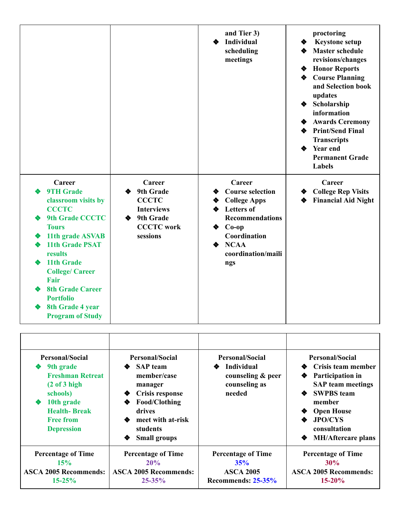|                                                  |                                     | and Tier 3)<br>Individual<br>◈<br>scheduling<br>meetings | proctoring<br><b>Keystone setup</b><br>❖<br><b>Master schedule</b><br>❖<br>revisions/changes<br><b>Honor Reports</b><br>❖<br><b>Course Planning</b><br>❖<br>and Selection book<br>updates<br>Scholarship<br>information<br><b>Awards Ceremony</b><br>❖<br>❖ Print/Send Final<br><b>Transcripts</b><br>Year end<br>❖<br><b>Permanent Grade</b><br><b>Labels</b> |
|--------------------------------------------------|-------------------------------------|----------------------------------------------------------|----------------------------------------------------------------------------------------------------------------------------------------------------------------------------------------------------------------------------------------------------------------------------------------------------------------------------------------------------------------|
| Career<br><b>9TH Grade</b>                       | Career<br>9th Grade                 | Career<br><b>Course selection</b><br>❖                   | Career<br><b>College Rep Visits</b><br>❖                                                                                                                                                                                                                                                                                                                       |
| classroom visits by<br><b>CCCTC</b>              | <b>CCCTC</b><br><b>Interviews</b>   | <b>College Apps</b><br>❖<br><b>Letters of</b><br>❖       | <b>Financial Aid Night</b><br>❖                                                                                                                                                                                                                                                                                                                                |
| <b>9th Grade CCCTC</b><br>❖<br><b>Tours</b>      | 9th Grade<br>❖<br><b>CCCTC</b> work | <b>Recommendations</b><br>$Co$ -op<br>❖                  |                                                                                                                                                                                                                                                                                                                                                                |
| 11th grade ASVAB<br>❖                            | sessions                            | Coordination                                             |                                                                                                                                                                                                                                                                                                                                                                |
| <b>11th Grade PSAT</b><br>❖<br>results           |                                     | <b>NCAA</b><br>❖<br>coordination/maili                   |                                                                                                                                                                                                                                                                                                                                                                |
| 11th Grade<br>❖<br><b>College/ Career</b>        |                                     | ngs                                                      |                                                                                                                                                                                                                                                                                                                                                                |
| Fair<br><b>8th Grade Career</b>                  |                                     |                                                          |                                                                                                                                                                                                                                                                                                                                                                |
| <b>Portfolio</b>                                 |                                     |                                                          |                                                                                                                                                                                                                                                                                                                                                                |
| 8th Grade 4 year<br>❖<br><b>Program of Study</b> |                                     |                                                          |                                                                                                                                                                                                                                                                                                                                                                |

| <b>Personal/Social</b><br>9th grade<br>❤<br><b>Freshman Retreat</b><br>(2 of 3 high)<br>schools)<br>10th grade<br>◈<br><b>Health-Break</b><br><b>Free from</b><br><b>Depression</b> | <b>Personal/Social</b><br><b>❖</b> SAP team<br>member/case<br>manager<br><b>Crisis response</b><br>◈<br>Food/Clothing<br>❖<br>drives<br>meet with at-risk<br><b>students</b><br><b>Small groups</b><br>◈ | <b>Personal/Social</b><br><b>Individual</b><br>◈<br>counseling & peer<br>counseling as<br>needed | <b>Personal/Social</b><br>Crisis team member<br>◈<br>Participation in<br>◈<br><b>SAP</b> team meetings<br><b>SWPBS</b> team<br>❖<br>member<br><b>Open House</b><br>◈<br><b>JPO/CYS</b><br>չ<br>consultation<br><b>MH/Aftercare plans</b><br>❖ |
|-------------------------------------------------------------------------------------------------------------------------------------------------------------------------------------|----------------------------------------------------------------------------------------------------------------------------------------------------------------------------------------------------------|--------------------------------------------------------------------------------------------------|-----------------------------------------------------------------------------------------------------------------------------------------------------------------------------------------------------------------------------------------------|
| <b>Percentage of Time</b>                                                                                                                                                           | <b>Percentage of Time</b>                                                                                                                                                                                | <b>Percentage of Time</b>                                                                        | <b>Percentage of Time</b>                                                                                                                                                                                                                     |
| 15%                                                                                                                                                                                 | 20%                                                                                                                                                                                                      | 35%                                                                                              | 30%                                                                                                                                                                                                                                           |
| <b>ASCA 2005 Recommends:</b>                                                                                                                                                        | <b>ASCA 2005 Recommends:</b>                                                                                                                                                                             | <b>ASCA 2005</b>                                                                                 | <b>ASCA 2005 Recommends:</b>                                                                                                                                                                                                                  |
| $15 - 25%$                                                                                                                                                                          | $25 - 35\%$                                                                                                                                                                                              | Recommends: 25-35%                                                                               | 15-20%                                                                                                                                                                                                                                        |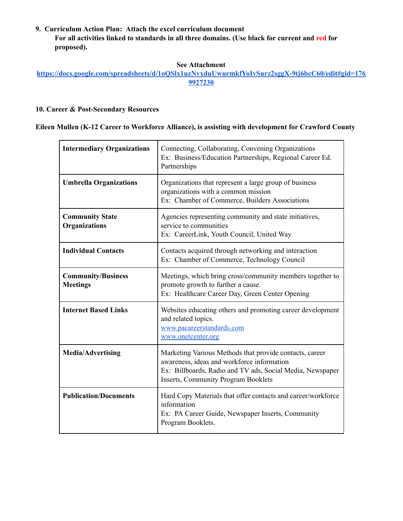#### **9. Curriculum Action Plan: Attach the excel curriculum document For all activities linked to standards in all three domains. (Use black for current and red for proposed).**

#### **See Attachment**

https://docs.google.com/spreadsheets/d/1oQSlx1uzNvxduUwurmkfYoIvSurz2sggX-9tj6bcC60/edit#gid=176 **[9927230](https://docs.google.com/spreadsheets/d/1oQSlx1uzNvxduUwurmkfYoIvSurz2sggX-9tj6bcC60/edit#gid=1769927230)**

#### 10. Career & Post-Secondary Resources

#### **Eileen Mullen (K12 Career to Workforce Alliance), is assisting with development for Crawford County**

| <b>Intermediary Organizations</b>              | Connecting, Collaborating, Convening Organizations<br>Ex: Business/Education Partnerships, Regional Career Ed.<br>Partnerships                                                                                   |
|------------------------------------------------|------------------------------------------------------------------------------------------------------------------------------------------------------------------------------------------------------------------|
| <b>Umbrella Organizations</b>                  | Organizations that represent a large group of business<br>organizations with a common mission<br>Ex: Chamber of Commerce, Builders Associations                                                                  |
| <b>Community State</b><br><b>Organizations</b> | Agencies representing community and state initiatives,<br>service to communities<br>Ex: CareerLink, Youth Council, United Way                                                                                    |
| <b>Individual Contacts</b>                     | Contacts acquired through networking and interaction<br>Ex: Chamber of Commerce, Technology Council                                                                                                              |
| <b>Community/Business</b><br><b>Meetings</b>   | Meetings, which bring cross/community members together to<br>promote growth to further a cause.<br>Ex: Healthcare Career Day, Green Center Opening                                                               |
| <b>Internet Based Links</b>                    | Websites educating others and promoting career development<br>and related topics.<br>www.pacareerstandards.com<br>www.onetcenter.org                                                                             |
| <b>Media/Advertising</b>                       | Marketing Various Methods that provide contacts, career<br>awareness, ideas and workforce information<br>Ex: Billboards, Radio and TV ads, Social Media, Newspaper<br><b>Inserts, Community Program Booklets</b> |
| <b>Publication/Documents</b>                   | Hard Copy Materials that offer contacts and career/workforce<br>information<br>Ex: PA Career Guide, Newspaper Inserts, Community<br>Program Booklets.                                                            |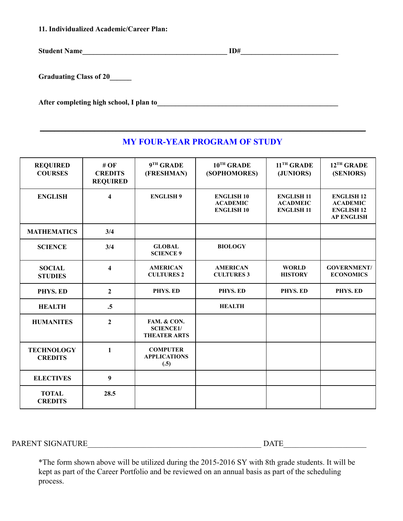**11. Individualized Academic/Career Plan:**

**Student Name\_\_\_\_\_\_\_\_\_\_\_\_\_\_\_\_\_\_\_\_\_\_\_\_\_\_\_\_\_\_\_\_\_\_\_\_\_\_\_\_ ID#\_\_\_\_\_\_\_\_\_\_\_\_\_\_\_\_\_\_\_\_\_\_\_\_\_\_\_**

**Graduating Class of 20\_\_\_\_\_\_**

**After completing high school, I plan to\_\_\_\_\_\_\_\_\_\_\_\_\_\_\_\_\_\_\_\_\_\_\_\_\_\_\_\_\_\_\_\_\_\_\_\_\_\_\_\_\_\_\_\_\_\_\_\_\_\_**

## **MY FOUR-YEAR PROGRAM OF STUDY**

**\_\_\_\_\_\_\_\_\_\_\_\_\_\_\_\_\_\_\_\_\_\_\_\_\_\_\_\_\_\_\_\_\_\_\_\_\_\_\_\_\_\_\_\_\_\_\_\_\_\_\_\_\_\_\_\_\_\_\_\_\_\_\_\_\_\_\_\_\_\_\_\_\_\_\_\_\_\_\_\_\_\_\_\_\_\_\_\_\_\_**

| <b>REQUIRED</b><br><b>COURSES</b>   | #OF<br><b>CREDITS</b><br><b>REQUIRED</b> | $9TH$ GRADE<br>(FRESHMAN)                              | $10^{TH}$ GRADE<br>(SOPHOMORES)                           | $11$ <sup>TH</sup> GRADE<br>(JUNIORS)                     | 12TH GRADE<br>(SENIORS)                                                        |
|-------------------------------------|------------------------------------------|--------------------------------------------------------|-----------------------------------------------------------|-----------------------------------------------------------|--------------------------------------------------------------------------------|
| <b>ENGLISH</b>                      | $\overline{\mathbf{4}}$                  | <b>ENGLISH 9</b>                                       | <b>ENGLISH 10</b><br><b>ACADEMIC</b><br><b>ENGLISH 10</b> | <b>ENGLISH 11</b><br><b>ACADMEIC</b><br><b>ENGLISH 11</b> | <b>ENGLISH 12</b><br><b>ACADEMIC</b><br><b>ENGLISH 12</b><br><b>AP ENGLISH</b> |
| <b>MATHEMATICS</b>                  | 3/4                                      |                                                        |                                                           |                                                           |                                                                                |
| <b>SCIENCE</b>                      | 3/4                                      | <b>GLOBAL</b><br><b>SCIENCE 9</b>                      | <b>BIOLOGY</b>                                            |                                                           |                                                                                |
| <b>SOCIAL</b><br><b>STUDIES</b>     | $\overline{\mathbf{4}}$                  | <b>AMERICAN</b><br><b>CULTURES 2</b>                   | <b>AMERICAN</b><br><b>CULTURES 3</b>                      | <b>WORLD</b><br><b>HISTORY</b>                            | <b>GOVERNMENT/</b><br><b>ECONOMICS</b>                                         |
| PHYS. ED                            | $\overline{2}$                           | PHYS. ED                                               | PHYS. ED                                                  | PHYS. ED                                                  | PHYS. ED                                                                       |
| <b>HEALTH</b>                       | $\cdot$ 5                                |                                                        | <b>HEALTH</b>                                             |                                                           |                                                                                |
| <b>HUMANITES</b>                    | $\overline{2}$                           | FAM. & CON.<br><b>SCIENCE1/</b><br><b>THEATER ARTS</b> |                                                           |                                                           |                                                                                |
| <b>TECHNOLOGY</b><br><b>CREDITS</b> | $\mathbf{1}$                             | <b>COMPUTER</b><br><b>APPLICATIONS</b><br>(.5)         |                                                           |                                                           |                                                                                |
| <b>ELECTIVES</b>                    | 9                                        |                                                        |                                                           |                                                           |                                                                                |
| <b>TOTAL</b><br><b>CREDITS</b>      | 28.5                                     |                                                        |                                                           |                                                           |                                                                                |

PARENT SIGNATURE\_\_\_\_\_\_\_\_\_\_\_\_\_\_\_\_\_\_\_\_\_\_\_\_\_\_\_\_\_\_\_\_\_\_\_\_\_\_\_\_\_\_\_\_ DATE\_\_\_\_\_\_\_\_\_\_\_\_\_\_\_\_\_\_\_\_\_

\*The form shown above will be utilized during the 20152016 SY with 8th grade students. It will be kept as part of the Career Portfolio and be reviewed on an annual basis as part of the scheduling process.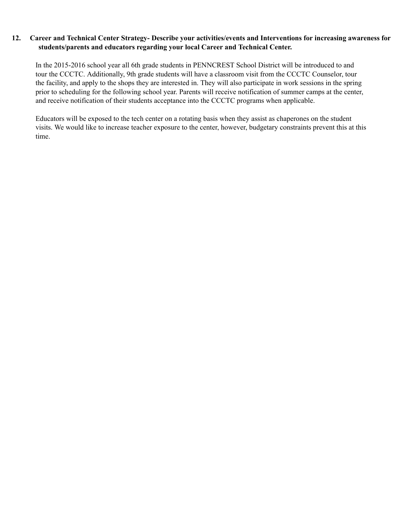#### **12. Career and Technical Center Strategy Describe your activities/events and Interventions for increasing awareness for students/parents and educators regarding your local Career and Technical Center.**

In the 2015-2016 school year all 6th grade students in PENNCREST School District will be introduced to and tour the CCCTC. Additionally, 9th grade students will have a classroom visit from the CCCTC Counselor, tour the facility, and apply to the shops they are interested in. They will also participate in work sessions in the spring prior to scheduling for the following school year. Parents will receive notification of summer camps at the center, and receive notification of their students acceptance into the CCCTC programs when applicable.

Educators will be exposed to the tech center on a rotating basis when they assist as chaperones on the student visits. We would like to increase teacher exposure to the center, however, budgetary constraints prevent this at this time.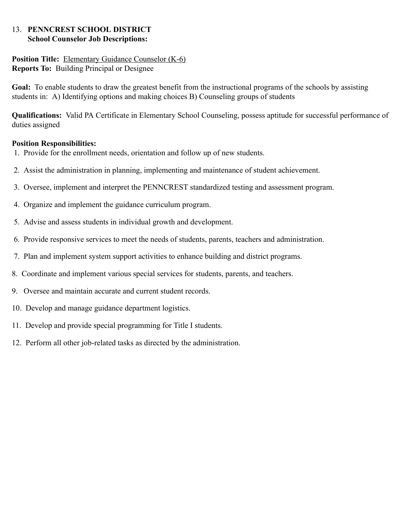### 13.  **PENNCREST SCHOOL DISTRICT School Counselor Job Descriptions:**

#### **Position Title:** Elementary Guidance Counselor (K-6) **Reports To:** Building Principal or Designee

Goal: To enable students to draw the greatest benefit from the instructional programs of the schools by assisting students in: A) Identifying options and making choices B) Counseling groups of students

**Qualifications:**  Valid PA Certificate in Elementary School Counseling, possess aptitude for successful performance of duties assigned

#### **Position Responsibilities:**

- 1. Provide for the enrollment needs, orientation and follow up of new students.
- 2. Assist the administration in planning, implementing and maintenance of student achievement.
- 3. Oversee, implement and interpret the PENNCREST standardized testing and assessment program.
- 4. Organize and implement the guidance curriculum program.
- 5. Advise and assess students in individual growth and development.
- 6. Provide responsive services to meet the needs of students, parents, teachers and administration.
- 7. Plan and implement system support activities to enhance building and district programs.
- 8. Coordinate and implement various special services for students, parents, and teachers.
- 9. Oversee and maintain accurate and current student records.
- 10. Develop and manage guidance department logistics.
- 11. Develop and provide special programming for Title I students.
- 12. Perform all other job-related tasks as directed by the administration.